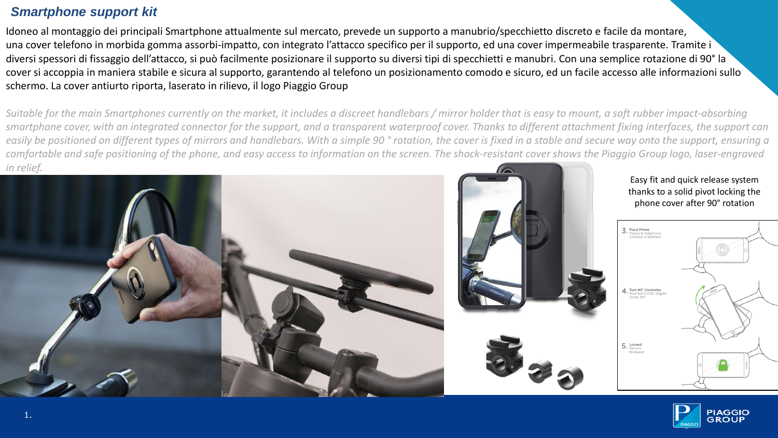## *Smartphone support kit*

Idoneo al montaggio dei principali Smartphone attualmente sul mercato, prevede un supporto a manubrio/specchietto discreto e facile da montare, una cover telefono in morbida gomma assorbi-impatto, con integrato l'attacco specifico per il supporto, ed una cover impermeabile trasparente. Tramite i diversi spessori di fissaggio dell'attacco, si può facilmente posizionare il supporto su diversi tipi di specchietti e manubri. Con una semplice rotazione di 90° la cover si accoppia in maniera stabile e sicura al supporto, garantendo al telefono un posizionamento comodo e sicuro, ed un facile accesso alle informazioni sullo schermo. La cover antiurto riporta, laserato in rilievo, il logo Piaggio Group

*Suitable for the main Smartphones currently on the market, it includes a discreet handlebars / mirror holder that is easy to mount, a soft rubber impact-absorbing smartphone cover, with an integrated connector for the support, and a transparent waterproof cover. Thanks to different attachment fixing interfaces, the support can easily be positioned on different types of mirrors and handlebars. With a simple 90 ° rotation, the cover is fixed in a stable and secure way onto the support, ensuring a comfortable and safe positioning of the phone, and easy access to information on the screen. The shock-resistant cover shows the Piaggio Group logo, laser-engraved in relief.*